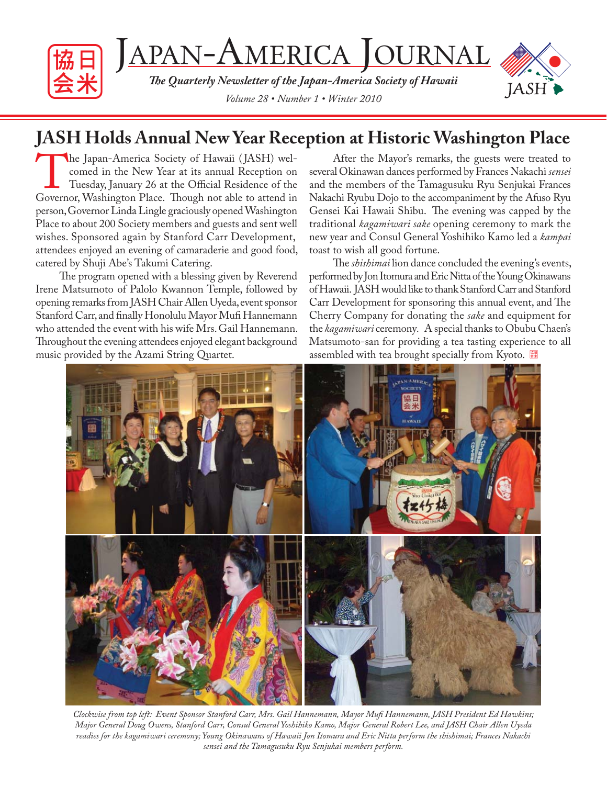

# **JASH Holds Annual New Year Reception at Historic Washington Place**

The Japan-America Society of Hawaii (JASH) welcomed in the New Year at its annual Reception on Tuesday, January 26 at the Official Residence of the Governor, Washington Place. Though not able to attend in comed in the New Year at its annual Reception on Tuesday, January 26 at the Official Residence of the person, Governor Linda Lingle graciously opened Washington Place to about 200 Society members and guests and sent well wishes. Sponsored again by Stanford Carr Development, attendees enjoyed an evening of camaraderie and good food, catered by Shuji Abe's Takumi Catering.

The program opened with a blessing given by Reverend Irene Matsumoto of Palolo Kwannon Temple, followed by opening remarks from JASH Chair Allen Uyeda, event sponsor Stanford Carr, and finally Honolulu Mayor Mufi Hannemann who attended the event with his wife Mrs. Gail Hannemann. Throughout the evening attendees enjoyed elegant background music provided by the Azami String Quartet.

After the Mayor's remarks, the guests were treated to several Okinawan dances performed by Frances Nakachi *sensei*  and the members of the Tamagusuku Ryu Senjukai Frances Nakachi Ryubu Dojo to the accompaniment by the Afuso Ryu Gensei Kai Hawaii Shibu. The evening was capped by the traditional *kagamiwari sake* opening ceremony to mark the new year and Consul General Yoshihiko Kamo led a *kampai*  toast to wish all good fortune.

The *shishimai* lion dance concluded the evening's events, performed by Jon Itomura and Eric Nitta of the Young Okinawans of Hawaii. JASH would like to thank Stanford Carr and Stanford Carr Development for sponsoring this annual event, and The Cherry Company for donating the *sake* and equipment for the *kagamiwari* ceremony*.* A special thanks to Obubu Chaen's Matsumoto-san for providing a tea tasting experience to all assembled with tea brought specially from Kyoto.



*Clockwise from top left: Event Sponsor Stanford Carr, Mrs. Gail Hannemann, Mayor Mufi Hannemann, JASH President Ed Hawkins; Major General Doug Owens, Stanford Carr, Consul General Yoshihiko Kamo, Major General Robert Lee, and JASH Chair Allen Uyeda readies for the kagamiwari ceremony; Young Okinawans of Hawaii Jon Itomura and Eric Nitta perform the shishimai; Frances Nakachi sensei and the Tamagusuku Ryu Senjukai members perform.*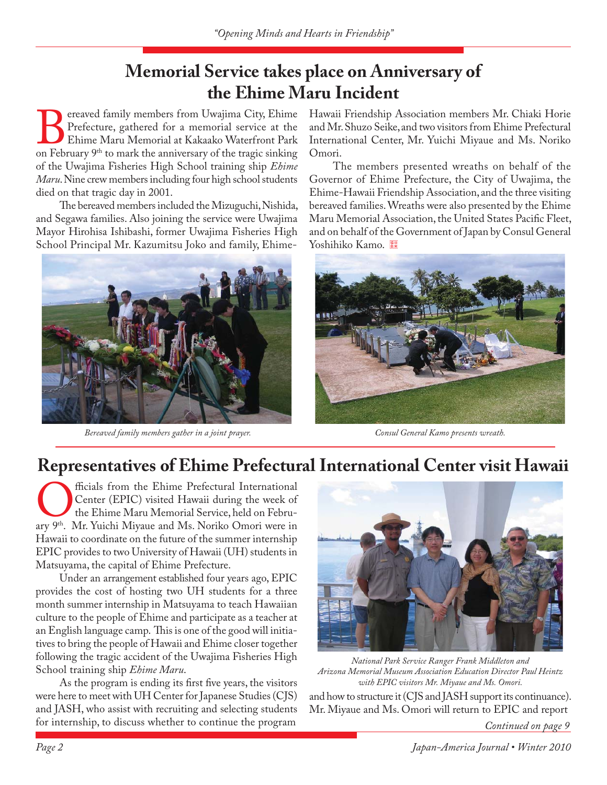### **Memorial Service takes place on Anniversary of the Ehime Maru Incident**

**Bereaved family members from Uwajima City, Ehime Prefecture, gathered for a memorial service at the Ehime Maru Memorial at Kakaako Waterfront Park on February 9<sup>th</sup> to mark the anniversary of the tragic sinking** Prefecture, gathered for a memorial service at the Ehime Maru Memorial at Kakaako Waterfront Park of the Uwajima Fisheries High School training ship *Ehime Maru*. Nine crew members including four high school students died on that tragic day in 2001.

The bereaved members included the Mizuguchi, Nishida, and Segawa families. Also joining the service were Uwajima Mayor Hirohisa Ishibashi, former Uwajima Fisheries High School Principal Mr. Kazumitsu Joko and family, Ehime-



 *Bereaved family members gather in a joint prayer. Consul General Kamo presents wreath.*

Hawaii Friendship Association members Mr. Chiaki Horie and Mr. Shuzo Seike, and two visitors from Ehime Prefectural International Center, Mr. Yuichi Miyaue and Ms. Noriko Omori.

The members presented wreaths on behalf of the Governor of Ehime Prefecture, the City of Uwajima, the Ehime-Hawaii Friendship Association, and the three visiting bereaved families. Wreaths were also presented by the Ehime Maru Memorial Association, the United States Pacific Fleet, and on behalf of the Government of Japan by Consul General Yoshihiko Kamo.



### **Representatives of Ehime Prefectural International Center visit Hawaii**

**C**enter (EPIC) visited Hawaii during the week of the Ehime Maru Memorial Service, held on February 9<sup>th</sup>. Mr. Yuichi Miyaue and Ms. Noriko Omori were in Center (EPIC) visited Hawaii during the week of the Ehime Maru Memorial Service, held on Febru-Hawaii to coordinate on the future of the summer internship EPIC provides to two University of Hawaii (UH) students in Matsuyama, the capital of Ehime Prefecture.

Under an arrangement established four years ago, EPIC provides the cost of hosting two UH students for a three month summer internship in Matsuyama to teach Hawaiian culture to the people of Ehime and participate as a teacher at an English language camp. This is one of the good will initiatives to bring the people of Hawaii and Ehime closer together following the tragic accident of the Uwajima Fisheries High School training ship *Ehime Maru*.

As the program is ending its first five years, the visitors were here to meet with UH Center for Japanese Studies (CJS) and JASH, who assist with recruiting and selecting students for internship, to discuss whether to continue the program



*National Park Service Ranger Frank Middleton and Arizona Memorial Museum Association Education Director Paul Heintz with EPIC visitors Mr. Miyaue and Ms. Omori.*

and how to structure it (CJS and JASH support its continuance). Mr. Miyaue and Ms. Omori will return to EPIC and report

*Continued on page 9*

*Page 2 Japan-America Journal • Winter 2010*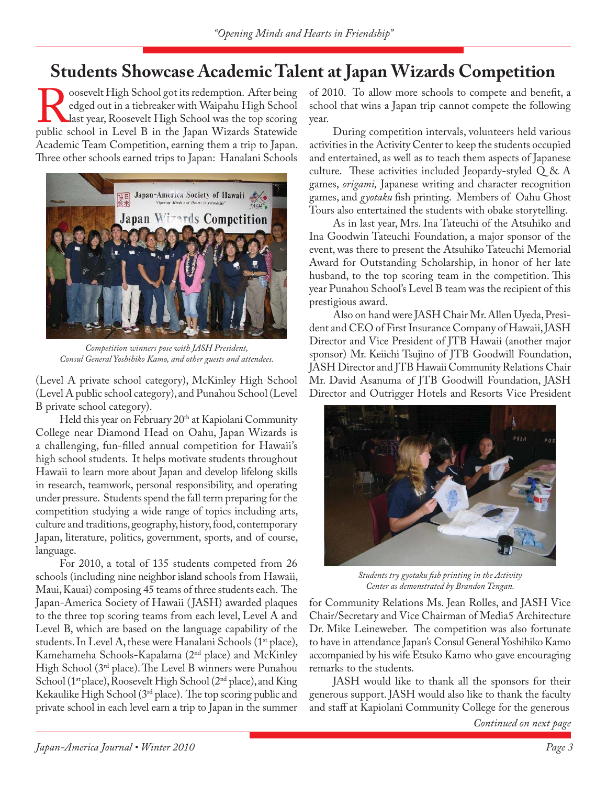# **Students Showcase Academic Talent at Japan Wizards Competition**

Roosevelt High School got its redemption. After being<br>edged out in a tiebreaker with Waipahu High School<br>last year, Roosevelt High School was the top scoring<br>public school in Level B in the Japan Wizards Statewide edged out in a tiebreaker with Waipahu High School last year, Roosevelt High School was the top scoring public school in Level B in the Japan Wizards Statewide Academic Team Competition, earning them a trip to Japan. Three other schools earned trips to Japan: Hanalani Schools



*Competition winners pose with JASH President, Consul General Yoshihiko Kamo, and other guests and attendees.*

(Level A private school category), McKinley High School (Level A public school category), and Punahou School (Level B private school category).

Held this year on February 20<sup>th</sup> at Kapiolani Community College near Diamond Head on Oahu, Japan Wizards is a challenging, fun-filled annual competition for Hawaii's high school students. It helps motivate students throughout Hawaii to learn more about Japan and develop lifelong skills in research, teamwork, personal responsibility, and operating under pressure. Students spend the fall term preparing for the competition studying a wide range of topics including arts, culture and traditions, geography, history, food, contemporary Japan, literature, politics, government, sports, and of course, language.

For 2010, a total of 135 students competed from 26 schools (including nine neighbor island schools from Hawaii, Maui, Kauai) composing 45 teams of three students each. The Japan-America Society of Hawaii ( JASH) awarded plaques to the three top scoring teams from each level, Level A and Level B, which are based on the language capability of the students. In Level A, these were Hanalani Schools (1<sup>st</sup> place), Kamehameha Schools-Kapalama (2nd place) and McKinley High School ( $3<sup>rd</sup>$  place). The Level B winners were Punahou School (1<sup>st</sup> place), Roosevelt High School (2<sup>nd</sup> place), and King Kekaulike High School ( $3<sup>rd</sup>$  place). The top scoring public and private school in each level earn a trip to Japan in the summer

of 2010. To allow more schools to compete and benefit, a school that wins a Japan trip cannot compete the following year.

During competition intervals, volunteers held various activities in the Activity Center to keep the students occupied and entertained, as well as to teach them aspects of Japanese culture. These activities included Jeopardy-styled  $Q & A$ games, *origami,* Japanese writing and character recognition games, and *gyotaku* fish printing. Members of Oahu Ghost Tours also entertained the students with obake storytelling.

As in last year, Mrs. Ina Tateuchi of the Atsuhiko and Ina Goodwin Tateuchi Foundation, a major sponsor of the event, was there to present the Atsuhiko Tateuchi Memorial Award for Outstanding Scholarship, in honor of her late husband, to the top scoring team in the competition. This year Punahou School's Level B team was the recipient of this prestigious award.

Also on hand were JASH Chair Mr. Allen Uyeda, President and CEO of First Insurance Company of Hawaii, JASH Director and Vice President of JTB Hawaii (another major sponsor) Mr. Keiichi Tsujino of JTB Goodwill Foundation, JASH Director and JTB Hawaii Community Relations Chair Mr. David Asanuma of JTB Goodwill Foundation, JASH Director and Outrigger Hotels and Resorts Vice President



*Students try gyotaku fi sh printing in the Activity Center as demonstrated by Brandon Tengan.*

for Community Relations Ms. Jean Rolles, and JASH Vice Chair/Secretary and Vice Chairman of Media5 Architecture Dr. Mike Leineweber. The competition was also fortunate to have in attendance Japan's Consul General Yoshihiko Kamo accompanied by his wife Etsuko Kamo who gave encouraging remarks to the students.

JASH would like to thank all the sponsors for their generous support. JASH would also like to thank the faculty and staff at Kapiolani Community College for the generous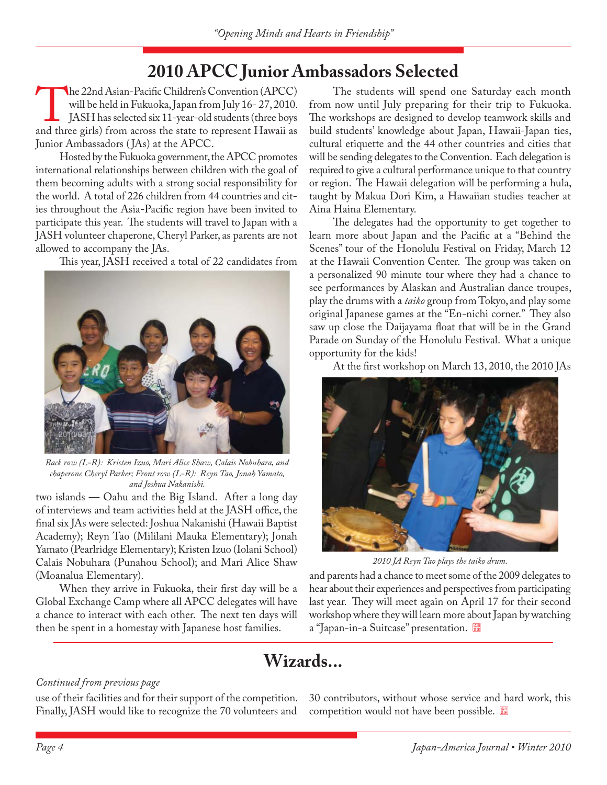# **2010 APCC Junior Ambassadors Selected**

The 22nd Asian-Pacific Children's Convention (APCC)<br>will be held in Fukuoka, Japan from July 16- 27, 2010.<br>JASH has selected six 11-year-old students (three boys<br>and three girls) from across the state to represent Hawaii a will be held in Fukuoka, Japan from July 16- 27, 2010. JASH has selected six 11-year-old students (three boys and three girls) from across the state to represent Hawaii as Junior Ambassadors ( JAs) at the APCC.

Hosted by the Fukuoka government, the APCC promotes international relationships between children with the goal of them becoming adults with a strong social responsibility for the world. A total of 226 children from 44 countries and cities throughout the Asia-Pacific region have been invited to participate this year. The students will travel to Japan with a JASH volunteer chaperone, Cheryl Parker, as parents are not allowed to accompany the JAs.

This year, JASH received a total of 22 candidates from



*Back row (L-R): Kristen Izuo, Mari Alice Shaw, Calais Nobuhara, and chaperone Cheryl Parker; Front row (L-R): Reyn Tao, Jonah Yamato, and Joshua Nakanishi.*

two islands — Oahu and the Big Island. After a long day of interviews and team activities held at the JASH office, the final six JAs were selected: Joshua Nakanishi (Hawaii Baptist Academy); Reyn Tao (Mililani Mauka Elementary); Jonah Yamato (Pearlridge Elementary); Kristen Izuo (Iolani School) Calais Nobuhara (Punahou School); and Mari Alice Shaw (Moanalua Elementary).

When they arrive in Fukuoka, their first day will be a Global Exchange Camp where all APCC delegates will have a chance to interact with each other. The next ten days will then be spent in a homestay with Japanese host families.

The students will spend one Saturday each month from now until July preparing for their trip to Fukuoka. The workshops are designed to develop teamwork skills and build students' knowledge about Japan, Hawaii-Japan ties, cultural etiquette and the 44 other countries and cities that will be sending delegates to the Convention. Each delegation is required to give a cultural performance unique to that country or region. The Hawaii delegation will be performing a hula, taught by Makua Dori Kim, a Hawaiian studies teacher at Aina Haina Elementary.

The delegates had the opportunity to get together to learn more about Japan and the Pacific at a "Behind the Scenes" tour of the Honolulu Festival on Friday, March 12 at the Hawaii Convention Center. The group was taken on a personalized 90 minute tour where they had a chance to see performances by Alaskan and Australian dance troupes, play the drums with a *taiko* group from Tokyo, and play some original Japanese games at the "En-nichi corner." They also saw up close the Daijayama float that will be in the Grand Parade on Sunday of the Honolulu Festival. What a unique opportunity for the kids!

At the first workshop on March 13, 2010, the 2010 JAs



*2010 JA Reyn Tao plays the taiko drum.*

and parents had a chance to meet some of the 2009 delegates to hear about their experiences and perspectives from participating last year. They will meet again on April 17 for their second workshop where they will learn more about Japan by watching a "Japan-in-a Suitcase" presentation.

### **Wizards...**

### *Continued from previous page*

use of their facilities and for their support of the competition. Finally, JASH would like to recognize the 70 volunteers and

30 contributors, without whose service and hard work, this competition would not have been possible.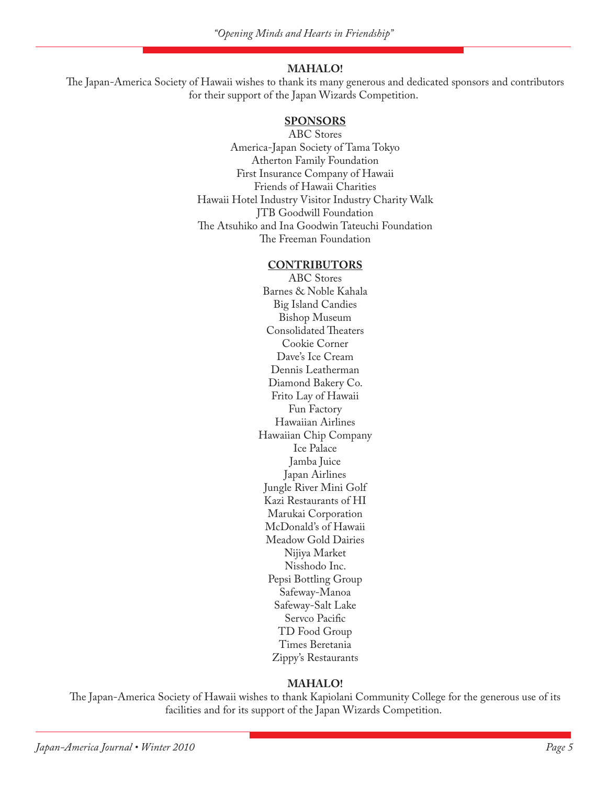#### **MAHALO!**

The Japan-America Society of Hawaii wishes to thank its many generous and dedicated sponsors and contributors for their support of the Japan Wizards Competition.

#### **SPONSORS**

ABC Stores America-Japan Society of Tama Tokyo Atherton Family Foundation First Insurance Company of Hawaii Friends of Hawaii Charities Hawaii Hotel Industry Visitor Industry Charity Walk JTB Goodwill Foundation The Atsuhiko and Ina Goodwin Tateuchi Foundation The Freeman Foundation

#### **CONTRIBUTORS**

ABC Stores Barnes & Noble Kahala Big Island Candies Bishop Museum Consolidated Theaters Cookie Corner Dave's Ice Cream Dennis Leatherman Diamond Bakery Co. Frito Lay of Hawaii Fun Factory Hawaiian Airlines Hawaiian Chip Company Ice Palace Jamba Juice Japan Airlines Jungle River Mini Golf Kazi Restaurants of HI Marukai Corporation McDonald's of Hawaii Meadow Gold Dairies Nijiya Market Nisshodo Inc. Pepsi Bottling Group Safeway-Manoa Safeway-Salt Lake Servco Pacific TD Food Group Times Beretania Zippy's Restaurants

#### **MAHALO!**

The Japan-America Society of Hawaii wishes to thank Kapiolani Community College for the generous use of its facilities and for its support of the Japan Wizards Competition.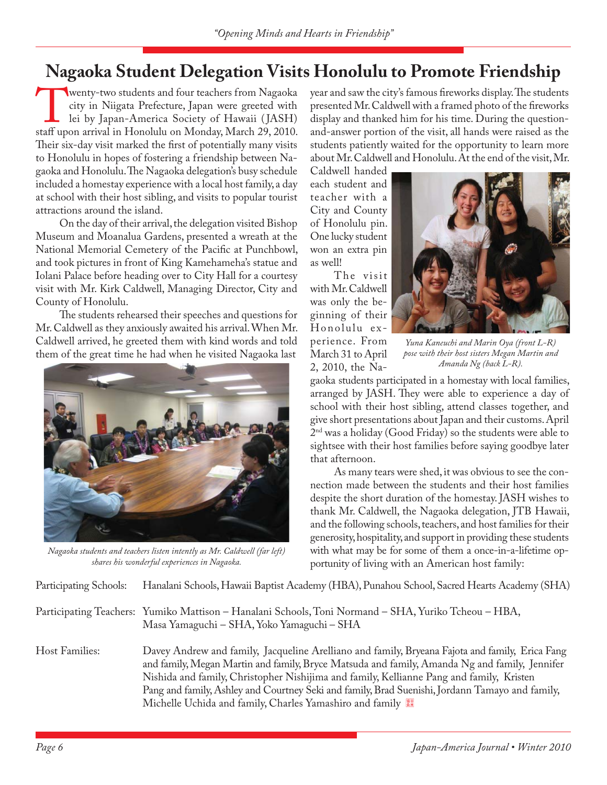# **Nagaoka Student Delegation Visits Honolulu to Promote Friendship**

Wenty-two students and four teachers from Nagaoka<br>
city in Niigata Prefecture, Japan were greeted with<br>
lei by Japan-America Society of Hawaii (JASH)<br>
staff upon arrival in Honolulu on Monday, March 29, 2010. city in Niigata Prefecture, Japan were greeted with lei by Japan-America Society of Hawaii ( JASH) Their six-day visit marked the first of potentially many visits to Honolulu in hopes of fostering a friendship between Nagaoka and Honolulu. The Nagaoka delegation's busy schedule included a homestay experience with a local host family, a day at school with their host sibling, and visits to popular tourist attractions around the island.

On the day of their arrival, the delegation visited Bishop Museum and Moanalua Gardens, presented a wreath at the National Memorial Cemetery of the Pacific at Punchbowl, and took pictures in front of King Kamehameha's statue and Iolani Palace before heading over to City Hall for a courtesy visit with Mr. Kirk Caldwell, Managing Director, City and County of Honolulu.

The students rehearsed their speeches and questions for Mr. Caldwell as they anxiously awaited his arrival. When Mr. Caldwell arrived, he greeted them with kind words and told them of the great time he had when he visited Nagaoka last



*Nagaoka students and teachers listen intently as Mr. Caldwell (far left) shares his wonderful experiences in Nagaoka.*

year and saw the city's famous fireworks display. The students presented Mr. Caldwell with a framed photo of the fireworks display and thanked him for his time. During the questionand-answer portion of the visit, all hands were raised as the students patiently waited for the opportunity to learn more about Mr. Caldwell and Honolulu. At the end of the visit, Mr.

Caldwell handed each student and teacher with a City and County of Honolulu pin. One lucky student won an extra pin as well!

The visit with Mr. Caldwell was only the beginning of their Honolulu experience. From March 31 to April 2, 2010, the Na-



*Yuna Kaneuchi and Marin Oya (front L-R) pose with their host sisters Megan Martin and Amanda Ng (back L-R).*

gaoka students participated in a homestay with local families, arranged by JASH. They were able to experience a day of school with their host sibling, attend classes together, and give short presentations about Japan and their customs. April  $2<sup>nd</sup>$  was a holiday (Good Friday) so the students were able to sightsee with their host families before saying goodbye later that afternoon.

As many tears were shed, it was obvious to see the connection made between the students and their host families despite the short duration of the homestay. JASH wishes to thank Mr. Caldwell, the Nagaoka delegation, JTB Hawaii, and the following schools, teachers, and host families for their generosity, hospitality, and support in providing these students with what may be for some of them a once-in-a-lifetime opportunity of living with an American host family:

Participating Schools: Hanalani Schools, Hawaii Baptist Academy (HBA), Punahou School, Sacred Hearts Academy (SHA)

Participating Teachers: Yumiko Mattison – Hanalani Schools, Toni Normand – SHA, Yuriko Tcheou – HBA, Masa Yamaguchi – SHA, Yoko Yamaguchi – SHA

Host Families: Davey Andrew and family, Jacqueline Arelliano and family, Bryeana Fajota and family, Erica Fang and family, Megan Martin and family, Bryce Matsuda and family, Amanda Ng and family, Jennifer Nishida and family, Christopher Nishijima and family, Kellianne Pang and family, Kristen Pang and family, Ashley and Courtney Seki and family, Brad Suenishi, Jordann Tamayo and family, Michelle Uchida and family, Charles Yamashiro and family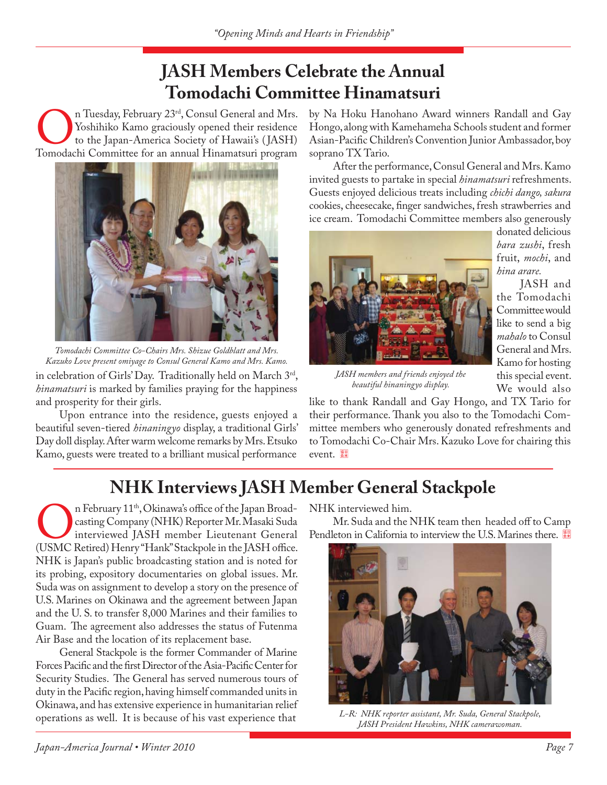# **JASH Members Celebrate the Annual Tomodachi Committee Hinamatsuri**

In Tuesday, February 23<sup>rd</sup>, Consul General and Mrs.<br>
Tomodachi Committee for an annual Hinamatsuri program<br>
Tomodachi Committee for an annual Hinamatsuri program Yoshihiko Kamo graciously opened their residence to the Japan-America Society of Hawaii's ( JASH)



in celebration of Girls' Day. Traditionally held on March 3rd, *hinamatsuri* is marked by families praying for the happiness and prosperity for their girls. *Tomodachi Committee Co-Chairs Mrs. Shizue Goldblatt and Mrs. Kazuko Love present omiyage to Consul General Kamo and Mrs. Kamo.*

Upon entrance into the residence, guests enjoyed a beautiful seven-tiered *hinaningyo* display, a traditional Girls' Day doll display. After warm welcome remarks by Mrs. Etsuko Kamo, guests were treated to a brilliant musical performance

by Na Hoku Hanohano Award winners Randall and Gay Hongo, along with Kamehameha Schools student and former Asian-Pacific Children's Convention Junior Ambassador, boy soprano TX Tario.

After the performance, Consul General and Mrs. Kamo invited guests to partake in special *hinamatsuri* refreshments. Guests enjoyed delicious treats including *chichi dango, sakura*  cookies, cheesecake, finger sandwiches, fresh strawberries and ice cream. Tomodachi Committee members also generously



*JASH members and friends enjoyed the beautiful hinaningyo display.*

donated delicious *bara zushi*, fresh fruit, *mochi*, and *hina arare.*

JASH and the Tomodachi Committee would like to send a big *mahalo* to Consul General and Mrs. Kamo for hosting this special event. We would also

like to thank Randall and Gay Hongo, and TX Tario for their performance. Thank you also to the Tomodachi Committee members who generously donated refreshments and to Tomodachi Co-Chair Mrs. Kazuko Love for chairing this event.

# **NHK Interviews JASH Member General Stackpole**

On February 11<sup>th</sup>, Okinawa's office of the Japan Broad-<br>
casting Company (NHK) Reporter Mr. Masaki Suda<br>
(USMC Retired) Henry "Hank" Stackpole in the JASH office. casting Company (NHK) Reporter Mr. Masaki Suda interviewed JASH member Lieutenant General NHK is Japan's public broadcasting station and is noted for its probing, expository documentaries on global issues. Mr. Suda was on assignment to develop a story on the presence of U.S. Marines on Okinawa and the agreement between Japan and the U. S. to transfer 8,000 Marines and their families to Guam. The agreement also addresses the status of Futenma Air Base and the location of its replacement base.

General Stackpole is the former Commander of Marine Forces Pacific and the first Director of the Asia-Pacific Center for Security Studies. The General has served numerous tours of duty in the Pacific region, having himself commanded units in Okinawa, and has extensive experience in humanitarian relief operations as well. It is because of his vast experience that

NHK interviewed him.

Mr. Suda and the NHK team then headed off to Camp Pendleton in California to interview the U.S. Marines there.



*L-R: NHK reporter assistant, Mr. Suda, General Stackpole, JASH President Hawkins, NHK camerawoman.*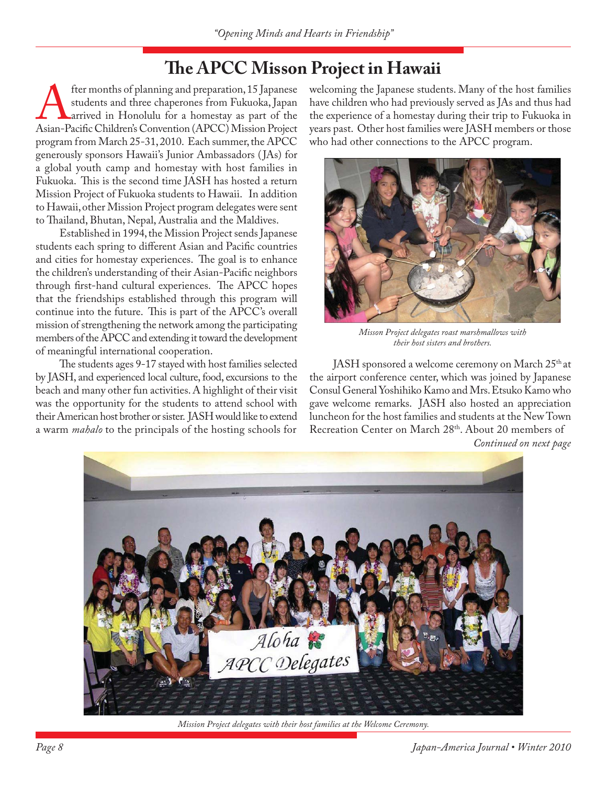# **The APCC Misson Project in Hawaii**

fter months of planning and preparation, 15 Japanese<br>students and three chaperones from Fukuoka, Japan<br>arrived in Honolulu for a homestay as part of the<br>Asian-Pacific Children's Convention (APCC) Mission Project students and three chaperones from Fukuoka, Japan arrived in Honolulu for a homestay as part of the program from March 25-31, 2010. Each summer, the APCC generously sponsors Hawaii's Junior Ambassadors ( JAs) for a global youth camp and homestay with host families in Fukuoka. This is the second time JASH has hosted a return Mission Project of Fukuoka students to Hawaii. In addition to Hawaii, other Mission Project program delegates were sent to Thailand, Bhutan, Nepal, Australia and the Maldives.

Established in 1994, the Mission Project sends Japanese students each spring to different Asian and Pacific countries and cities for homestay experiences. The goal is to enhance the children's understanding of their Asian-Pacific neighbors through first-hand cultural experiences. The APCC hopes that the friendships established through this program will continue into the future. This is part of the APCC's overall mission of strengthening the network among the participating members of the APCC and extending it toward the development of meaningful international cooperation.

The students ages 9-17 stayed with host families selected by JASH, and experienced local culture, food, excursions to the beach and many other fun activities. A highlight of their visit was the opportunity for the students to attend school with their American host brother or sister. JASH would like to extend a warm *mahalo* to the principals of the hosting schools for

welcoming the Japanese students. Many of the host families have children who had previously served as JAs and thus had the experience of a homestay during their trip to Fukuoka in years past. Other host families were JASH members or those who had other connections to the APCC program.



*Misson Project delegates roast marshmallows with their host sisters and brothers.*

JASH sponsored a welcome ceremony on March 25<sup>th</sup> at the airport conference center, which was joined by Japanese Consul General Yoshihiko Kamo and Mrs. Etsuko Kamo who gave welcome remarks. JASH also hosted an appreciation luncheon for the host families and students at the New Town Recreation Center on March 28th. About 20 members of

*Continued on next page*



*Mission Project delegates with their host families at the Welcome Ceremony.*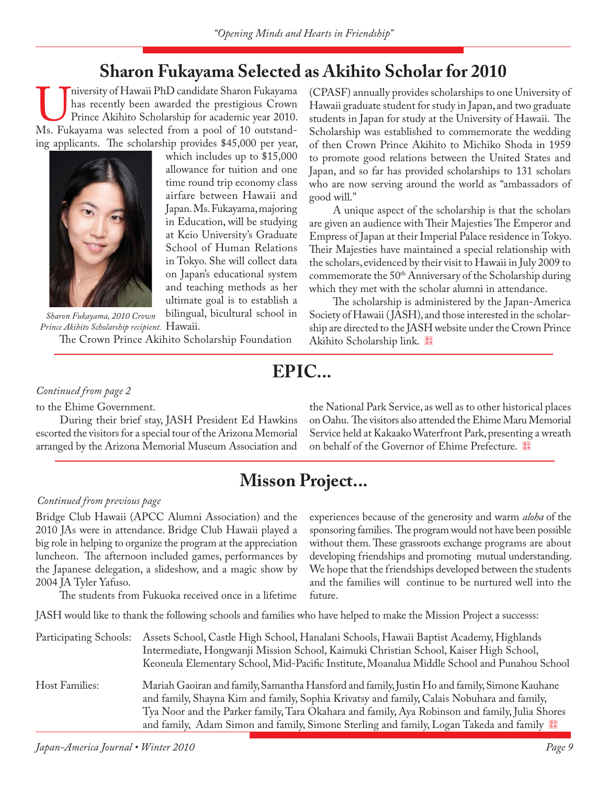## **Sharon Fukayama Selected as Akihito Scholar for 2010**

Iniversity of Hawaii PhD candidate Sharon Fukayama<br>
has recently been awarded the prestigious Crown<br>
Prince Akihito Scholarship for academic year 2010.<br>
Ms. Fukayama was selected from a pool of 10 outstandhas recently been awarded the prestigious Crown Prince Akihito Scholarship for academic year 2010. ing applicants. The scholarship provides \$45,000 per year,



which includes up to \$15,000 allowance for tuition and one time round trip economy class airfare between Hawaii and Japan. Ms. Fukayama, majoring in Education, will be studying at Keio University's Graduate School of Human Relations in Tokyo. She will collect data on Japan's educational system and teaching methods as her ultimate goal is to establish a bilingual, bicultural school in

Prince Akihito Scholarship recipient. **Hawaii.** The Crown Prince Akihito Scholarship Foundation *Sharon Fukayama, 2010 Crown* 

(CPASF) annually provides scholarships to one University of Hawaii graduate student for study in Japan, and two graduate students in Japan for study at the University of Hawaii. The Scholarship was established to commemorate the wedding of then Crown Prince Akihito to Michiko Shoda in 1959 to promote good relations between the United States and Japan, and so far has provided scholarships to 131 scholars who are now serving around the world as "ambassadors of good will."

A unique aspect of the scholarship is that the scholars are given an audience with Their Majesties The Emperor and Empress of Japan at their Imperial Palace residence in Tokyo. Their Majesties have maintained a special relationship with the scholars, evidenced by their visit to Hawaii in July 2009 to commemorate the 50<sup>th</sup> Anniversary of the Scholarship during which they met with the scholar alumni in attendance.

The scholarship is administered by the Japan-America Society of Hawaii (JASH), and those interested in the scholarship are directed to the JASH website under the Crown Prince Akihito Scholarship link.

# **EPIC...**

### *Continued from page 2*

to the Ehime Government.

During their brief stay, JASH President Ed Hawkins escorted the visitors for a special tour of the Arizona Memorial arranged by the Arizona Memorial Museum Association and the National Park Service, as well as to other historical places on Oahu. The visitors also attended the Ehime Maru Memorial Service held at Kakaako Waterfront Park, presenting a wreath on behalf of the Governor of Ehime Prefecture.

### **Misson Project...**

#### *Continued from previous page*

Bridge Club Hawaii (APCC Alumni Association) and the 2010 JAs were in attendance. Bridge Club Hawaii played a big role in helping to organize the program at the appreciation luncheon. The afternoon included games, performances by the Japanese delegation, a slideshow, and a magic show by 2004 JA Tyler Yafuso.

The students from Fukuoka received once in a lifetime

experiences because of the generosity and warm *aloha* of the sponsoring families. The program would not have been possible without them. These grassroots exchange programs are about developing friendships and promoting mutual understanding. We hope that the friendships developed between the students and the families will continue to be nurtured well into the future.

JASH would like to thank the following schools and families who have helped to make the Mission Project a successs:

| Participating Schools: | Assets School, Castle High School, Hanalani Schools, Hawaii Baptist Academy, Highlands<br>Intermediate, Hongwanji Mission School, Kaimuki Christian School, Kaiser High School,<br>Keoneula Elementary School, Mid-Pacific Institute, Moanalua Middle School and Punahou School                                                                                                         |
|------------------------|-----------------------------------------------------------------------------------------------------------------------------------------------------------------------------------------------------------------------------------------------------------------------------------------------------------------------------------------------------------------------------------------|
| Host Families:         | Mariah Gaoiran and family, Samantha Hansford and family, Justin Ho and family, Simone Kauhane<br>and family, Shayna Kim and family, Sophia Krivatsy and family, Calais Nobuhara and family,<br>Tya Noor and the Parker family, Tara Okahara and family, Aya Robinson and family, Julia Shores<br>and family, Adam Simon and family, Simone Sterling and family, Logan Takeda and family |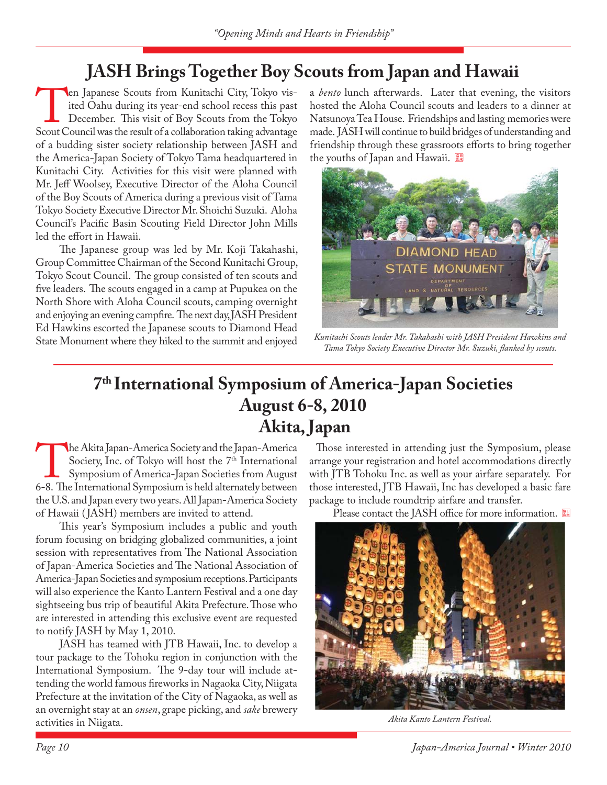# **JASH Brings Together Boy Scouts from Japan and Hawaii**

Ten Japanese Scouts from Kunitachi City, Tokyo visited Oahu during its year-end school recess this past<br>December. This visit of Boy Scouts from the Tokyo<br>Scout Council was the result of a collaboration taking advantage ited Oahu during its year-end school recess this past December. This visit of Boy Scouts from the Tokyo of a budding sister society relationship between JASH and the America-Japan Society of Tokyo Tama headquartered in Kunitachi City. Activities for this visit were planned with Mr. Jeff Woolsey, Executive Director of the Aloha Council of the Boy Scouts of America during a previous visit of Tama Tokyo Society Executive Director Mr. Shoichi Suzuki. Aloha Council's Pacific Basin Scouting Field Director John Mills led the effort in Hawaii.

The Japanese group was led by Mr. Koji Takahashi, Group Committee Chairman of the Second Kunitachi Group, Tokyo Scout Council. The group consisted of ten scouts and five leaders. The scouts engaged in a camp at Pupukea on the North Shore with Aloha Council scouts, camping overnight and enjoying an evening campfire. The next day, JASH President Ed Hawkins escorted the Japanese scouts to Diamond Head State Monument where they hiked to the summit and enjoyed

a *bento* lunch afterwards. Later that evening, the visitors hosted the Aloha Council scouts and leaders to a dinner at Natsunoya Tea House. Friendships and lasting memories were made. JASH will continue to build bridges of understanding and friendship through these grassroots efforts to bring together the youths of Japan and Hawaii.



*Kunitachi Scouts leader Mr. Takahashi with JASH President Hawkins and*  Tama Tokyo Society Executive Director Mr. Suzuki, flanked by scouts.

## **7th International Symposium of America-Japan Societies August 6-8, 2010 Akita, Japan**

The Akita Japan-America Society and the Japan-America<br>
Society, Inc. of Tokyo will host the 7<sup>th</sup> International<br>
Symposium of America-Japan Societies from August<br>
6-8. The International Symposium is held alternately betwee Society, Inc. of Tokyo will host the 7<sup>th</sup> International Symposium of America-Japan Societies from August the U.S. and Japan every two years. All Japan-America Society of Hawaii ( JASH) members are invited to attend.

This year's Symposium includes a public and youth forum focusing on bridging globalized communities, a joint session with representatives from The National Association of Japan-America Societies and The National Association of America-Japan Societies and symposium receptions. Participants will also experience the Kanto Lantern Festival and a one day sightseeing bus trip of beautiful Akita Prefecture. Those who are interested in attending this exclusive event are requested to notify JASH by May 1, 2010.

JASH has teamed with JTB Hawaii, Inc. to develop a tour package to the Tohoku region in conjunction with the International Symposium. The 9-day tour will include attending the world famous fireworks in Nagaoka City, Niigata Prefecture at the invitation of the City of Nagaoka, as well as an overnight stay at an *onsen*, grape picking, and *sake* brewery activities in Niigata.

Those interested in attending just the Symposium, please arrange your registration and hotel accommodations directly with JTB Tohoku Inc. as well as your airfare separately. For those interested, JTB Hawaii, Inc has developed a basic fare package to include roundtrip airfare and transfer.

Please contact the JASH office for more information.



*Akita Kanto Lantern Festival.*

*Page 10 Japan-America Journal • Winter 2010*